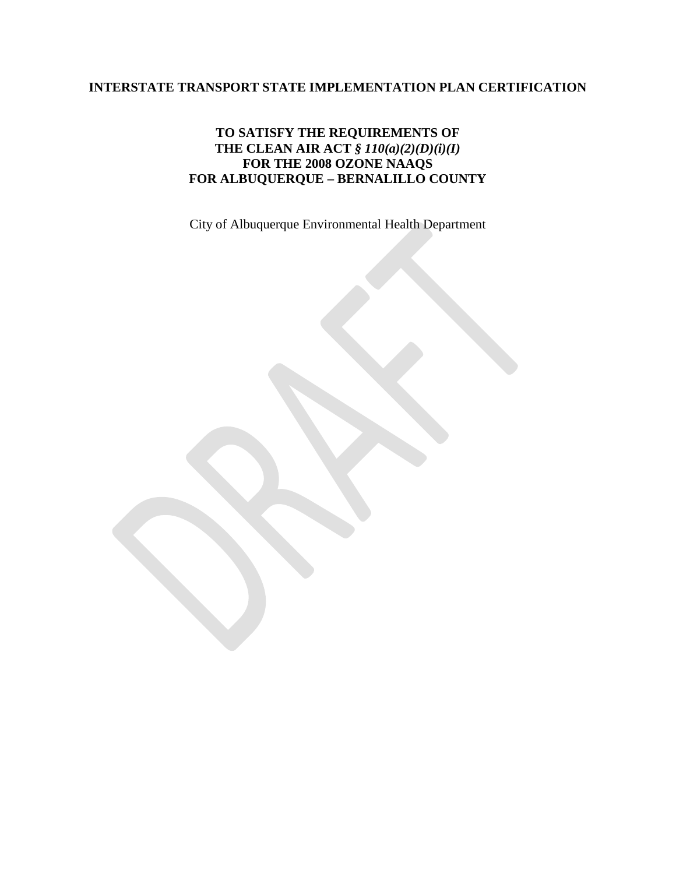# **INTERSTATE TRANSPORT STATE IMPLEMENTATION PLAN CERTIFICATION**

## **TO SATISFY THE REQUIREMENTS OF THE CLEAN AIR ACT** *§ 110(a)(2)(D)(i)(I)* **FOR THE 2008 OZONE NAAQS FOR ALBUQUERQUE – BERNALILLO COUNTY**

City of Albuquerque Environmental Health Department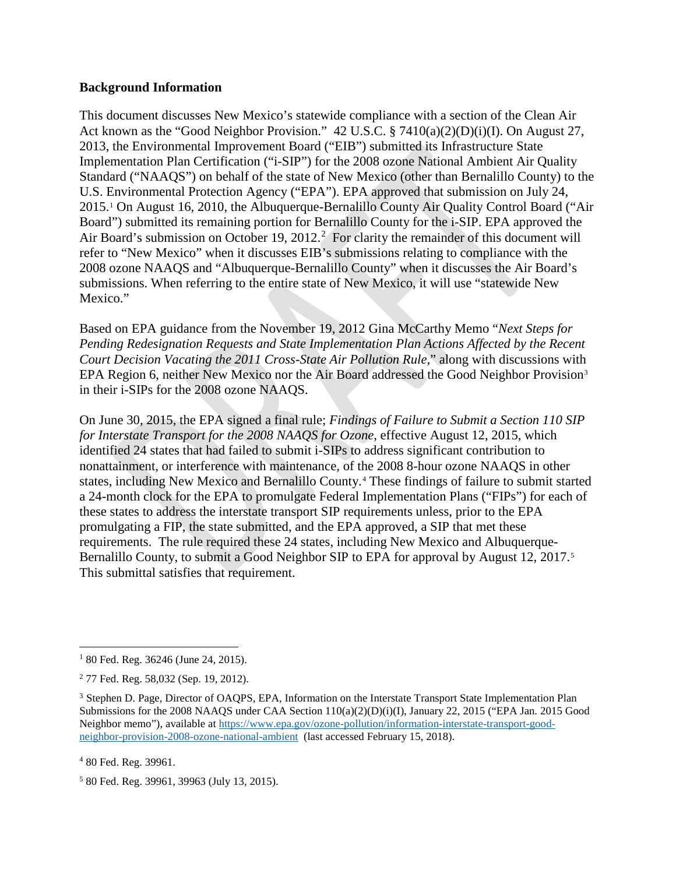### **Background Information**

This document discusses New Mexico's statewide compliance with a section of the Clean Air Act known as the "Good Neighbor Provision." 42 U.S.C. § 7410(a)(2)(D)(i)(I). On August 27, 2013, the Environmental Improvement Board ("EIB") submitted its Infrastructure State Implementation Plan Certification ("i-SIP") for the 2008 ozone National Ambient Air Quality Standard ("NAAQS") on behalf of the state of New Mexico (other than Bernalillo County) to the U.S. Environmental Protection Agency ("EPA"). EPA approved that submission on July 24, 2015[.1](#page-1-0) On August 16, 2010, the Albuquerque-Bernalillo County Air Quality Control Board ("Air Board") submitted its remaining portion for Bernalillo County for the i-SIP. EPA approved the Air Board's submission on October 19, [2](#page-1-1)012.<sup>2</sup> For clarity the remainder of this document will refer to "New Mexico" when it discusses EIB's submissions relating to compliance with the 2008 ozone NAAQS and "Albuquerque-Bernalillo County" when it discusses the Air Board's submissions. When referring to the entire state of New Mexico, it will use "statewide New Mexico."

Based on EPA guidance from the November 19, 2012 Gina McCarthy Memo "*Next Steps for Pending Redesignation Requests and State Implementation Plan Actions Affected by the Recent Court Decision Vacating the 2011 Cross-State Air Pollution Rule,*" along with discussions with EPA Region 6, neither New Mexico nor the Air Board addressed the Good Neighbor Provision<sup>[3](#page-1-2)</sup> in their i-SIPs for the 2008 ozone NAAQS.

On June 30, 2015, the EPA signed a final rule; *Findings of Failure to Submit a Section 110 SIP for Interstate Transport for the 2008 NAAQS for Ozone*, effective August 12, 2015, which identified 24 states that had failed to submit i-SIPs to address significant contribution to nonattainment, or interference with maintenance, of the 2008 8-hour ozone NAAQS in other states, including New Mexico and Bernalillo County.[4](#page-1-3) These findings of failure to submit started a 24-month clock for the EPA to promulgate Federal Implementation Plans ("FIPs") for each of these states to address the interstate transport SIP requirements unless, prior to the EPA promulgating a FIP, the state submitted, and the EPA approved, a SIP that met these requirements. The rule required these 24 states, including New Mexico and Albuquerque-Bernalillo County, to submit a Good Neighbor SIP to EPA for approval by August 12, 2017.<sup>[5](#page-1-4)</sup> This submittal satisfies that requirement.

<span id="page-1-3"></span><sup>4</sup> 80 Fed. Reg. 39961.

<span id="page-1-4"></span><sup>5</sup> 80 Fed. Reg. 39961, 39963 (July 13, 2015).

<span id="page-1-0"></span> $180$  Fed. Reg. 36246 (June 24, 2015).

<span id="page-1-1"></span> $2$  77 Fed. Reg. 58,032 (Sep. 19, 2012).

<span id="page-1-2"></span><sup>&</sup>lt;sup>3</sup> Stephen D. Page, Director of OAQPS, EPA, Information on the Interstate Transport State Implementation Plan Submissions for the 2008 NAAQS under CAA Section 110(a)(2)(D)(i)(I), January 22, 2015 ("EPA Jan. 2015 Good Neighbor memo"), available at [https://www.epa.gov/ozone-pollution/information-interstate-transport-good](https://www.epa.gov/ozone-pollution/information-interstate-transport-good-neighbor-provision-2008-ozone-national-ambient)[neighbor-provision-2008-ozone-national-ambient](https://www.epa.gov/ozone-pollution/information-interstate-transport-good-neighbor-provision-2008-ozone-national-ambient) (last accessed February 15, 2018).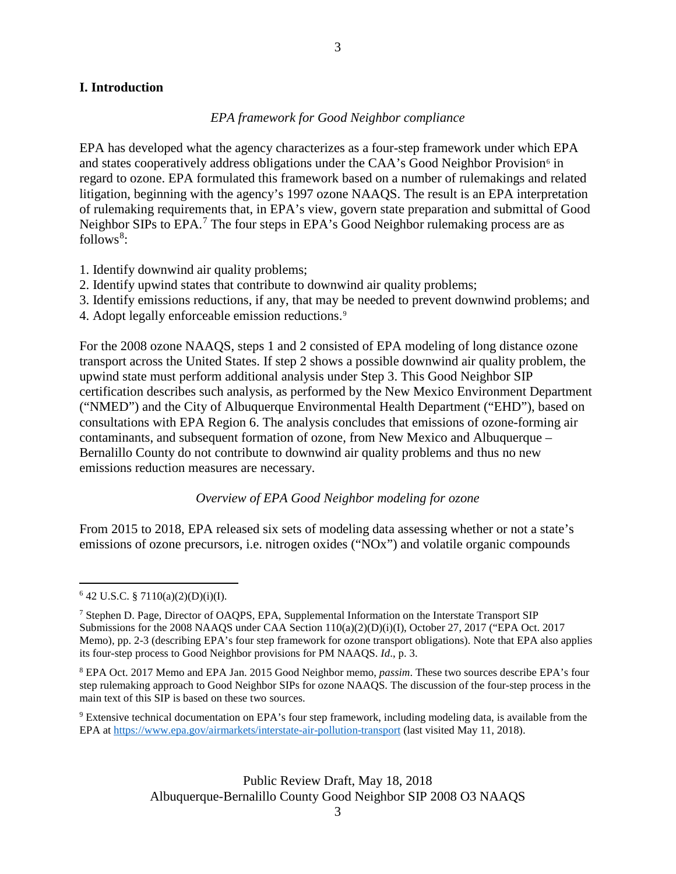### **I. Introduction**

#### *EPA framework for Good Neighbor compliance*

EPA has developed what the agency characterizes as a four-step framework under which EPA and states cooperatively address obligations under the CAA's Good Neighbor Provision<sup>[6](#page-2-0)</sup> in regard to ozone. EPA formulated this framework based on a number of rulemakings and related litigation, beginning with the agency's 1997 ozone NAAQS. The result is an EPA interpretation of rulemaking requirements that, in EPA's view, govern state preparation and submittal of Good Neighbor SIPs to EPA.<sup>[7](#page-2-1)</sup> The four steps in EPA's Good Neighbor rulemaking process are as follows<sup>[8](#page-2-2)</sup>:

- 1. Identify downwind air quality problems;
- 2. Identify upwind states that contribute to downwind air quality problems;
- 3. Identify emissions reductions, if any, that may be needed to prevent downwind problems; and
- 4. Adopt legally enforceable emission reductions.[9](#page-2-3)

For the 2008 ozone NAAQS, steps 1 and 2 consisted of EPA modeling of long distance ozone transport across the United States. If step 2 shows a possible downwind air quality problem, the upwind state must perform additional analysis under Step 3. This Good Neighbor SIP certification describes such analysis, as performed by the New Mexico Environment Department ("NMED") and the City of Albuquerque Environmental Health Department ("EHD"), based on consultations with EPA Region 6. The analysis concludes that emissions of ozone-forming air contaminants, and subsequent formation of ozone, from New Mexico and Albuquerque – Bernalillo County do not contribute to downwind air quality problems and thus no new emissions reduction measures are necessary.

*Overview of EPA Good Neighbor modeling for ozone*

From 2015 to 2018, EPA released six sets of modeling data assessing whether or not a state's emissions of ozone precursors, i.e. nitrogen oxides ("NOx") and volatile organic compounds

<span id="page-2-3"></span><sup>9</sup> Extensive technical documentation on EPA's four step framework, including modeling data, is available from the EPA at<https://www.epa.gov/airmarkets/interstate-air-pollution-transport> (last visited May 11, 2018).

3

<span id="page-2-0"></span> $642$  U.S.C. § 7110(a)(2)(D)(i)(I).

<span id="page-2-1"></span><sup>&</sup>lt;sup>7</sup> Stephen D. Page, Director of OAQPS, EPA, Supplemental Information on the Interstate Transport SIP Submissions for the 2008 NAAQS under CAA Section 110(a)(2)(D)(i)(I), October 27, 2017 ("EPA Oct. 2017 Memo), pp. 2-3 (describing EPA's four step framework for ozone transport obligations). Note that EPA also applies its four-step process to Good Neighbor provisions for PM NAAQS. *Id*., p. 3.

<span id="page-2-2"></span><sup>8</sup> EPA Oct. 2017 Memo and EPA Jan. 2015 Good Neighbor memo, *passim*. These two sources describe EPA's four step rulemaking approach to Good Neighbor SIPs for ozone NAAQS. The discussion of the four-step process in the main text of this SIP is based on these two sources.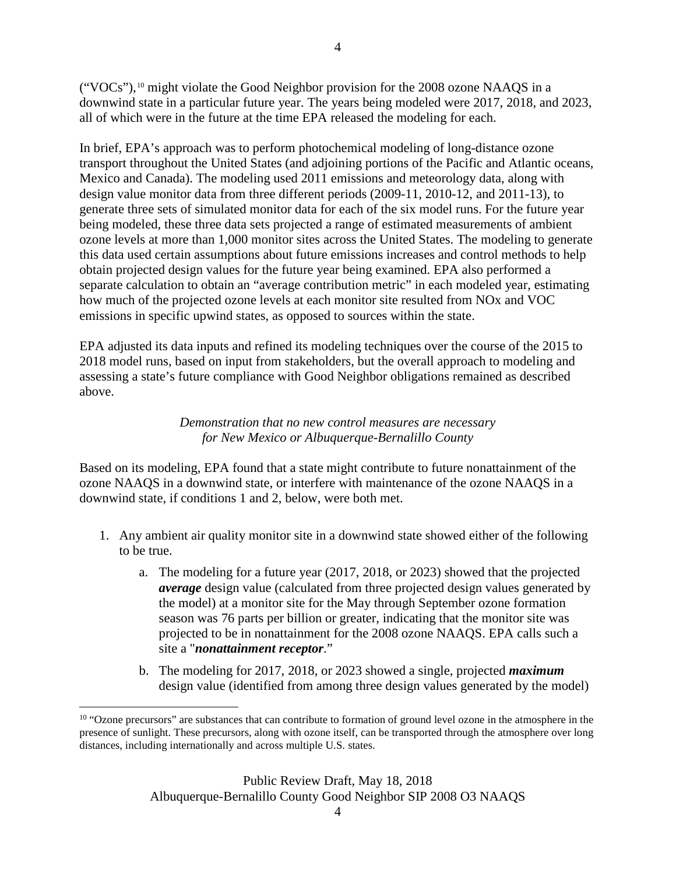("VOCs"),[10](#page-3-0) might violate the Good Neighbor provision for the 2008 ozone NAAQS in a downwind state in a particular future year. The years being modeled were 2017, 2018, and 2023, all of which were in the future at the time EPA released the modeling for each.

4

In brief, EPA's approach was to perform photochemical modeling of long-distance ozone transport throughout the United States (and adjoining portions of the Pacific and Atlantic oceans, Mexico and Canada). The modeling used 2011 emissions and meteorology data, along with design value monitor data from three different periods (2009-11, 2010-12, and 2011-13), to generate three sets of simulated monitor data for each of the six model runs. For the future year being modeled, these three data sets projected a range of estimated measurements of ambient ozone levels at more than 1,000 monitor sites across the United States. The modeling to generate this data used certain assumptions about future emissions increases and control methods to help obtain projected design values for the future year being examined. EPA also performed a separate calculation to obtain an "average contribution metric" in each modeled year, estimating how much of the projected ozone levels at each monitor site resulted from NOx and VOC emissions in specific upwind states, as opposed to sources within the state.

EPA adjusted its data inputs and refined its modeling techniques over the course of the 2015 to 2018 model runs, based on input from stakeholders, but the overall approach to modeling and assessing a state's future compliance with Good Neighbor obligations remained as described above.

> *Demonstration that no new control measures are necessary for New Mexico or Albuquerque-Bernalillo County*

Based on its modeling, EPA found that a state might contribute to future nonattainment of the ozone NAAQS in a downwind state, or interfere with maintenance of the ozone NAAQS in a downwind state, if conditions 1 and 2, below, were both met.

- 1. Any ambient air quality monitor site in a downwind state showed either of the following to be true.
	- a. The modeling for a future year (2017, 2018, or 2023) showed that the projected *average* design value (calculated from three projected design values generated by the model) at a monitor site for the May through September ozone formation season was 76 parts per billion or greater, indicating that the monitor site was projected to be in nonattainment for the 2008 ozone NAAQS. EPA calls such a site a "*nonattainment receptor*."
	- b. The modeling for 2017, 2018, or 2023 showed a single, projected *maximum* design value (identified from among three design values generated by the model)

<span id="page-3-0"></span><sup>&</sup>lt;sup>10</sup> "Ozone precursors" are substances that can contribute to formation of ground level ozone in the atmosphere in the presence of sunlight. These precursors, along with ozone itself, can be transported through the atmosphere over long distances, including internationally and across multiple U.S. states.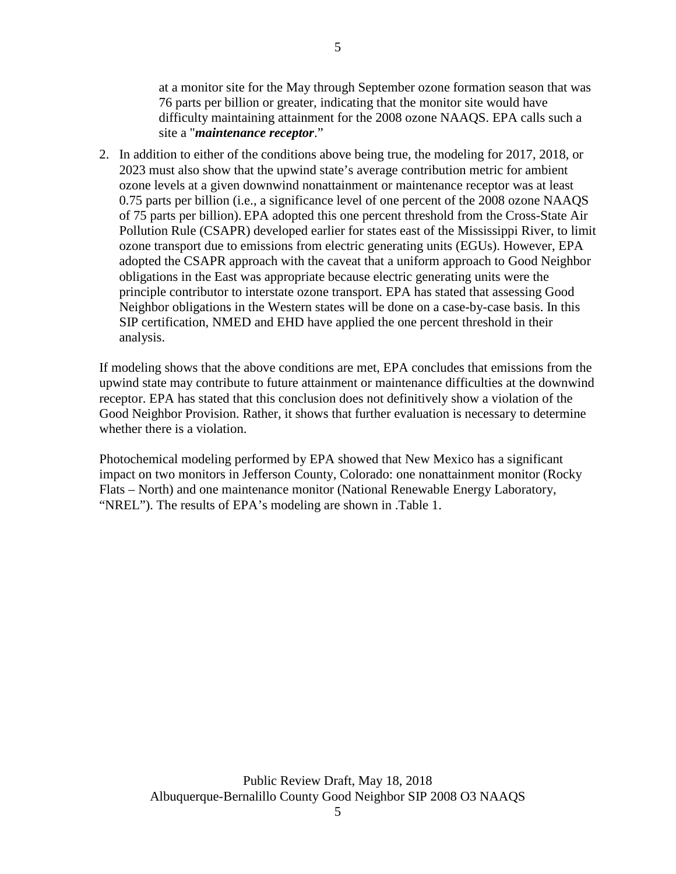at a monitor site for the May through September ozone formation season that was 76 parts per billion or greater, indicating that the monitor site would have difficulty maintaining attainment for the 2008 ozone NAAQS. EPA calls such a site a "*maintenance receptor*."

2. In addition to either of the conditions above being true, the modeling for 2017, 2018, or 2023 must also show that the upwind state's average contribution metric for ambient ozone levels at a given downwind nonattainment or maintenance receptor was at least 0.75 parts per billion (i.e., a significance level of one percent of the 2008 ozone NAAQS of 75 parts per billion). EPA adopted this one percent threshold from the Cross-State Air Pollution Rule (CSAPR) developed earlier for states east of the Mississippi River, to limit ozone transport due to emissions from electric generating units (EGUs). However, EPA adopted the CSAPR approach with the caveat that a uniform approach to Good Neighbor obligations in the East was appropriate because electric generating units were the principle contributor to interstate ozone transport. EPA has stated that assessing Good Neighbor obligations in the Western states will be done on a case-by-case basis. In this SIP certification, NMED and EHD have applied the one percent threshold in their analysis.

If modeling shows that the above conditions are met, EPA concludes that emissions from the upwind state may contribute to future attainment or maintenance difficulties at the downwind receptor. EPA has stated that this conclusion does not definitively show a violation of the Good Neighbor Provision. Rather, it shows that further evaluation is necessary to determine whether there is a violation.

Photochemical modeling performed by EPA showed that New Mexico has a significant impact on two monitors in Jefferson County, Colorado: one nonattainment monitor (Rocky Flats – North) and one maintenance monitor (National Renewable Energy Laboratory, "NREL"). The results of EPA's modeling are shown in .Table 1.

5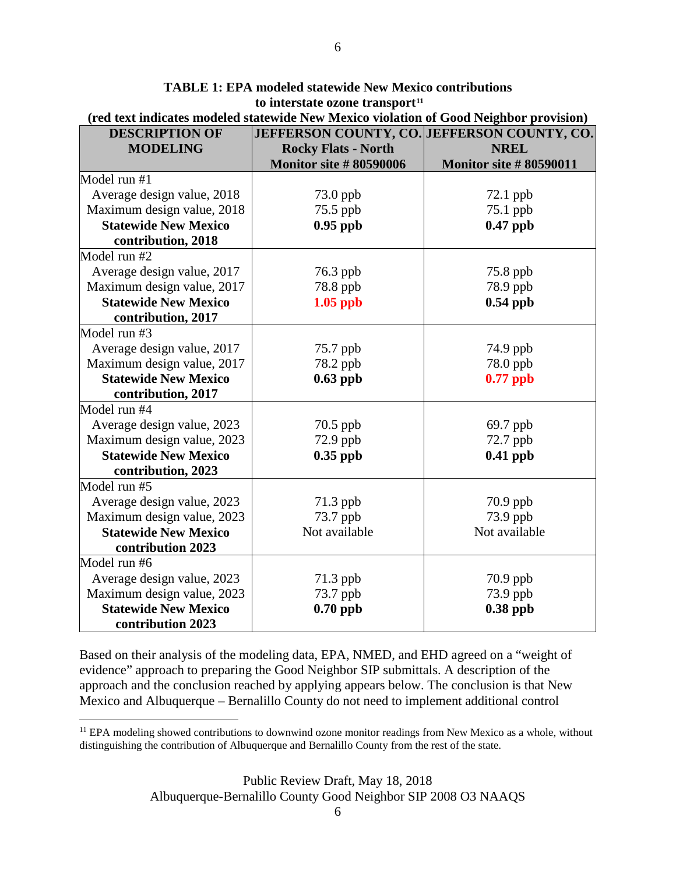| <b>DESCRIPTION OF</b>       | JEFFERSON COUNTY, CO. JEFFERSON COUNTY, CO. |                               |
|-----------------------------|---------------------------------------------|-------------------------------|
| <b>MODELING</b>             | <b>Rocky Flats - North</b>                  | <b>NREL</b>                   |
|                             | <b>Monitor site #80590006</b>               | <b>Monitor site #80590011</b> |
| Model run #1                |                                             |                               |
| Average design value, 2018  | 73.0 ppb                                    | 72.1 ppb                      |
| Maximum design value, 2018  | 75.5 ppb                                    | 75.1 ppb                      |
| <b>Statewide New Mexico</b> | $0.95$ ppb                                  | $0.47$ ppb                    |
| contribution, 2018          |                                             |                               |
| Model run #2                |                                             |                               |
| Average design value, 2017  | 76.3 ppb                                    | 75.8 ppb                      |
| Maximum design value, 2017  | 78.8 ppb                                    | 78.9 ppb                      |
| <b>Statewide New Mexico</b> | $1.05$ ppb                                  | $0.54$ ppb                    |
| contribution, 2017          |                                             |                               |
| Model run #3                |                                             |                               |
| Average design value, 2017  | 75.7 ppb                                    | 74.9 ppb                      |
| Maximum design value, 2017  | 78.2 ppb                                    | 78.0 ppb                      |
| <b>Statewide New Mexico</b> | $0.63$ ppb                                  | $0.77$ ppb                    |
| contribution, 2017          |                                             |                               |
| Model run #4                |                                             |                               |
| Average design value, 2023  | 70.5 ppb                                    | 69.7 ppb                      |
| Maximum design value, 2023  | 72.9 ppb                                    | 72.7 ppb                      |
| <b>Statewide New Mexico</b> | $0.35$ ppb                                  | $0.41$ ppb                    |
| contribution, 2023          |                                             |                               |
| Model run #5                |                                             |                               |
| Average design value, 2023  | 71.3 ppb                                    | $70.9$ ppb                    |
| Maximum design value, 2023  | 73.7 ppb                                    | 73.9 ppb                      |
| <b>Statewide New Mexico</b> | Not available                               | Not available                 |
| contribution 2023           |                                             |                               |
| Model run #6                |                                             |                               |
| Average design value, 2023  | 71.3 ppb                                    | $70.9$ ppb                    |
| Maximum design value, 2023  | 73.7 ppb                                    | 73.9 ppb                      |
| <b>Statewide New Mexico</b> | $0.70$ ppb                                  | $0.38$ ppb                    |
| contribution 2023           |                                             |                               |

**TABLE 1: EPA modeled statewide New Mexico contributions to interstate ozone transport[11](#page-5-0)**

**(red text indicates modeled statewide New Mexico violation of Good Neighbor provision)**

Based on their analysis of the modeling data, EPA, NMED, and EHD agreed on a "weight of evidence" approach to preparing the Good Neighbor SIP submittals. A description of the approach and the conclusion reached by applying appears below. The conclusion is that New Mexico and Albuquerque – Bernalillo County do not need to implement additional control

Public Review Draft, May 18, 2018 Albuquerque-Bernalillo County Good Neighbor SIP 2008 O3 NAAQS

<span id="page-5-0"></span><sup>&</sup>lt;sup>11</sup> EPA modeling showed contributions to downwind ozone monitor readings from New Mexico as a whole, without distinguishing the contribution of Albuquerque and Bernalillo County from the rest of the state.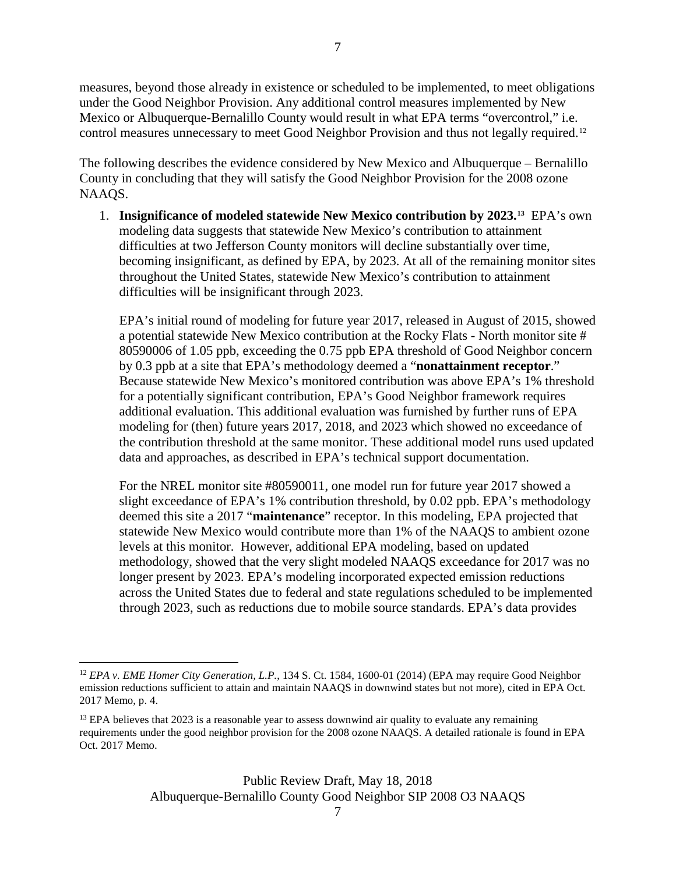measures, beyond those already in existence or scheduled to be implemented, to meet obligations under the Good Neighbor Provision. Any additional control measures implemented by New Mexico or Albuquerque-Bernalillo County would result in what EPA terms "overcontrol," i.e. control measures unnecessary to meet Good Neighbor Provision and thus not legally required.[12](#page-6-0)

The following describes the evidence considered by New Mexico and Albuquerque – Bernalillo County in concluding that they will satisfy the Good Neighbor Provision for the 2008 ozone NAAQS.

1. **Insignificance of modeled statewide New Mexico contribution by 2023.[13](#page-6-1)** EPA's own modeling data suggests that statewide New Mexico's contribution to attainment difficulties at two Jefferson County monitors will decline substantially over time, becoming insignificant, as defined by EPA, by 2023. At all of the remaining monitor sites throughout the United States, statewide New Mexico's contribution to attainment difficulties will be insignificant through 2023.

EPA's initial round of modeling for future year 2017, released in August of 2015, showed a potential statewide New Mexico contribution at the Rocky Flats - North monitor site # 80590006 of 1.05 ppb, exceeding the 0.75 ppb EPA threshold of Good Neighbor concern by 0.3 ppb at a site that EPA's methodology deemed a "**nonattainment receptor**." Because statewide New Mexico's monitored contribution was above EPA's 1% threshold for a potentially significant contribution, EPA's Good Neighbor framework requires additional evaluation. This additional evaluation was furnished by further runs of EPA modeling for (then) future years 2017, 2018, and 2023 which showed no exceedance of the contribution threshold at the same monitor. These additional model runs used updated data and approaches, as described in EPA's technical support documentation.

For the NREL monitor site #80590011, one model run for future year 2017 showed a slight exceedance of EPA's 1% contribution threshold, by 0.02 ppb. EPA's methodology deemed this site a 2017 "**maintenance**" receptor. In this modeling, EPA projected that statewide New Mexico would contribute more than 1% of the NAAQS to ambient ozone levels at this monitor. However, additional EPA modeling, based on updated methodology, showed that the very slight modeled NAAQS exceedance for 2017 was no longer present by 2023. EPA's modeling incorporated expected emission reductions across the United States due to federal and state regulations scheduled to be implemented through 2023, such as reductions due to mobile source standards. EPA's data provides

<span id="page-6-0"></span> <sup>12</sup> *EPA v. EME Homer City Generation, L.P.*, 134 S. Ct. 1584, 1600-01 (2014) (EPA may require Good Neighbor emission reductions sufficient to attain and maintain NAAQS in downwind states but not more), cited in EPA Oct. 2017 Memo, p. 4.

<span id="page-6-1"></span> $13$  EPA believes that 2023 is a reasonable year to assess downwind air quality to evaluate any remaining requirements under the good neighbor provision for the 2008 ozone NAAQS. A detailed rationale is found in EPA Oct. 2017 Memo.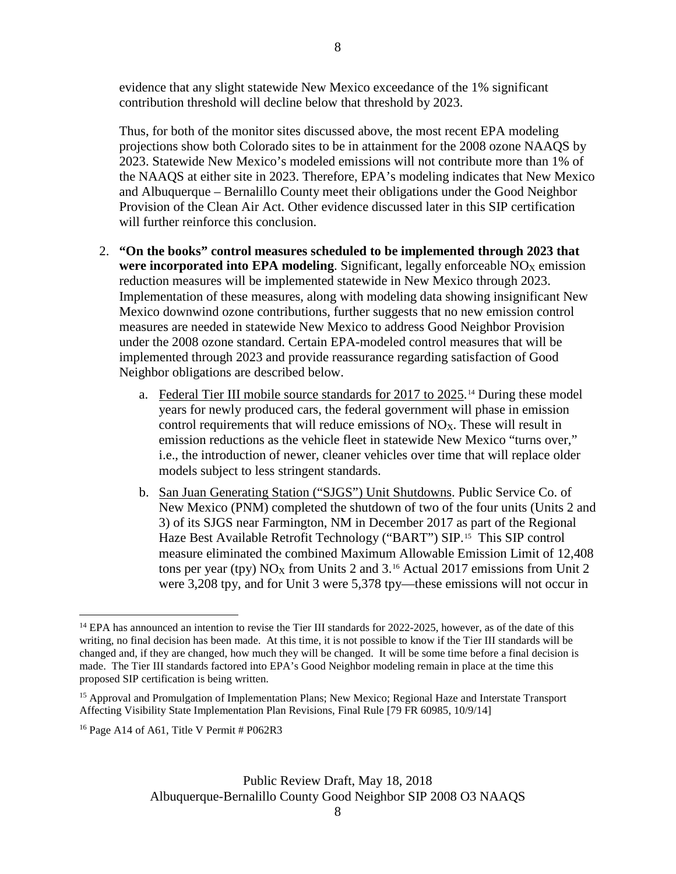evidence that any slight statewide New Mexico exceedance of the 1% significant contribution threshold will decline below that threshold by 2023.

Thus, for both of the monitor sites discussed above, the most recent EPA modeling projections show both Colorado sites to be in attainment for the 2008 ozone NAAQS by 2023. Statewide New Mexico's modeled emissions will not contribute more than 1% of the NAAQS at either site in 2023. Therefore, EPA's modeling indicates that New Mexico and Albuquerque – Bernalillo County meet their obligations under the Good Neighbor Provision of the Clean Air Act. Other evidence discussed later in this SIP certification will further reinforce this conclusion.

- 2. **"On the books" control measures scheduled to be implemented through 2023 that were incorporated into EPA modeling.** Significant, legally enforceable  $NO<sub>X</sub>$  emission reduction measures will be implemented statewide in New Mexico through 2023. Implementation of these measures, along with modeling data showing insignificant New Mexico downwind ozone contributions, further suggests that no new emission control measures are needed in statewide New Mexico to address Good Neighbor Provision under the 2008 ozone standard. Certain EPA-modeled control measures that will be implemented through 2023 and provide reassurance regarding satisfaction of Good Neighbor obligations are described below.
	- a. Federal Tier III mobile source standards for 2017 to 2025.<sup>[14](#page-7-0)</sup> During these model years for newly produced cars, the federal government will phase in emission control requirements that will reduce emissions of  $NO<sub>X</sub>$ . These will result in emission reductions as the vehicle fleet in statewide New Mexico "turns over," i.e., the introduction of newer, cleaner vehicles over time that will replace older models subject to less stringent standards.
	- b. San Juan Generating Station ("SJGS") Unit Shutdowns. Public Service Co. of New Mexico (PNM) completed the shutdown of two of the four units (Units 2 and 3) of its SJGS near Farmington, NM in December 2017 as part of the Regional Haze Best Available Retrofit Technology ("BART") SIP.[15](#page-7-1) This SIP control measure eliminated the combined Maximum Allowable Emission Limit of 12,408 tons per year (tpy)  $NO<sub>X</sub>$  from Units 2 and 3.<sup>[16](#page-7-2)</sup> Actual 2017 emissions from Unit 2 were 3,208 tpy, and for Unit 3 were 5,378 tpy—these emissions will not occur in

<span id="page-7-2"></span><sup>16</sup> Page A14 of A61, Title V Permit  $#P062R3$ 

<span id="page-7-0"></span><sup>&</sup>lt;sup>14</sup> EPA has announced an intention to revise the Tier III standards for 2022-2025, however, as of the date of this writing, no final decision has been made. At this time, it is not possible to know if the Tier III standards will be changed and, if they are changed, how much they will be changed. It will be some time before a final decision is made. The Tier III standards factored into EPA's Good Neighbor modeling remain in place at the time this proposed SIP certification is being written.

<span id="page-7-1"></span><sup>&</sup>lt;sup>15</sup> Approval and Promulgation of Implementation Plans; New Mexico; Regional Haze and Interstate Transport Affecting Visibility State Implementation Plan Revisions, Final Rule [79 FR 60985, 10/9/14]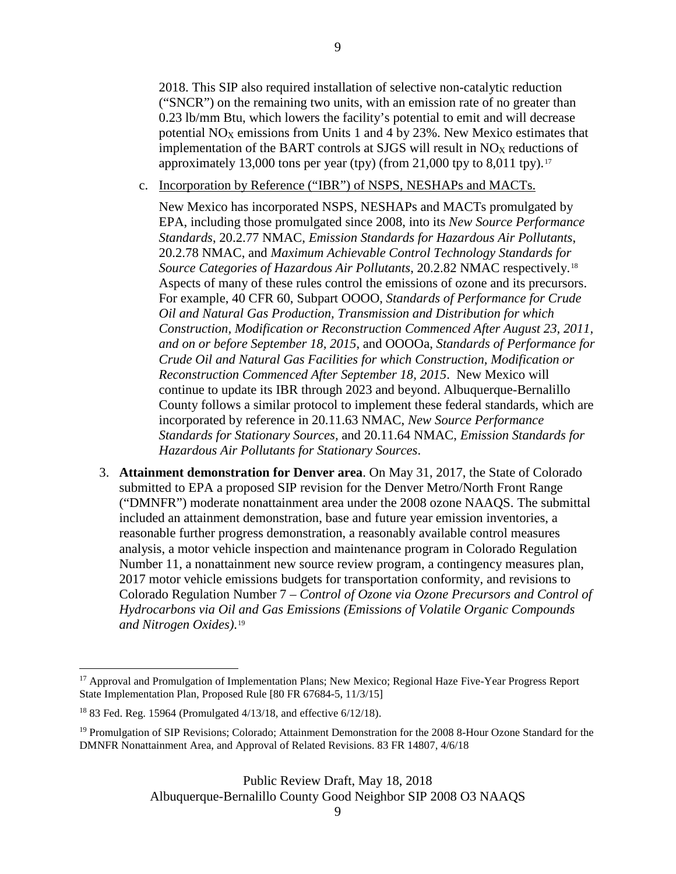2018. This SIP also required installation of selective non-catalytic reduction ("SNCR") on the remaining two units, with an emission rate of no greater than 0.23 lb/mm Btu, which lowers the facility's potential to emit and will decrease potential  $NO<sub>X</sub>$  emissions from Units 1 and 4 by 23%. New Mexico estimates that implementation of the BART controls at SJGS will result in  $NO<sub>X</sub>$  reductions of approximately 13,000 tons per year (tpy) (from 21,000 tpy to 8,011 tpy).<sup>[17](#page-8-0)</sup>

c. Incorporation by Reference ("IBR") of NSPS, NESHAPs and MACTs.

New Mexico has incorporated NSPS, NESHAPs and MACTs promulgated by EPA, including those promulgated since 2008, into its *New Source Performance Standards*, 20.2.77 NMAC, *Emission Standards for Hazardous Air Pollutants*, 20.2.78 NMAC, and *Maximum Achievable Control Technology Standards for Source Categories of Hazardous Air Pollutants*, 20.2.82 NMAC respectively.[18](#page-8-1) Aspects of many of these rules control the emissions of ozone and its precursors. For example, 40 CFR 60, Subpart OOOO, *Standards of Performance for Crude Oil and Natural Gas Production, Transmission and Distribution for which Construction, Modification or Reconstruction Commenced After August 23, 2011, and on or before September 18, 2015*, and OOOOa, *Standards of Performance for Crude Oil and Natural Gas Facilities for which Construction, Modification or Reconstruction Commenced After September 18, 2015*. New Mexico will continue to update its IBR through 2023 and beyond. Albuquerque-Bernalillo County follows a similar protocol to implement these federal standards, which are incorporated by reference in 20.11.63 NMAC, *New Source Performance Standards for Stationary Sources,* and 20.11.64 NMAC, *Emission Standards for Hazardous Air Pollutants for Stationary Sources*.

3. **Attainment demonstration for Denver area**. On May 31, 2017, the State of Colorado submitted to EPA a proposed SIP revision for the Denver Metro/North Front Range ("DMNFR") moderate nonattainment area under the 2008 ozone NAAQS. The submittal included an attainment demonstration, base and future year emission inventories, a reasonable further progress demonstration, a reasonably available control measures analysis, a motor vehicle inspection and maintenance program in Colorado Regulation Number 11, a nonattainment new source review program, a contingency measures plan, 2017 motor vehicle emissions budgets for transportation conformity, and revisions to Colorado Regulation Number 7 – *Control of Ozone via Ozone Precursors and Control of Hydrocarbons via Oil and Gas Emissions (Emissions of Volatile Organic Compounds and Nitrogen Oxides)*.[19](#page-8-2)

Public Review Draft, May 18, 2018 Albuquerque-Bernalillo County Good Neighbor SIP 2008 O3 NAAQS

<span id="page-8-0"></span><sup>&</sup>lt;sup>17</sup> Approval and Promulgation of Implementation Plans; New Mexico; Regional Haze Five-Year Progress Report State Implementation Plan, Proposed Rule [80 FR 67684-5, 11/3/15]

<span id="page-8-1"></span><sup>18</sup> 83 Fed. Reg. 15964 (Promulgated 4/13/18, and effective 6/12/18).

<span id="page-8-2"></span><sup>&</sup>lt;sup>19</sup> Promulgation of SIP Revisions; Colorado; Attainment Demonstration for the 2008 8-Hour Ozone Standard for the DMNFR Nonattainment Area, and Approval of Related Revisions. 83 FR 14807, 4/6/18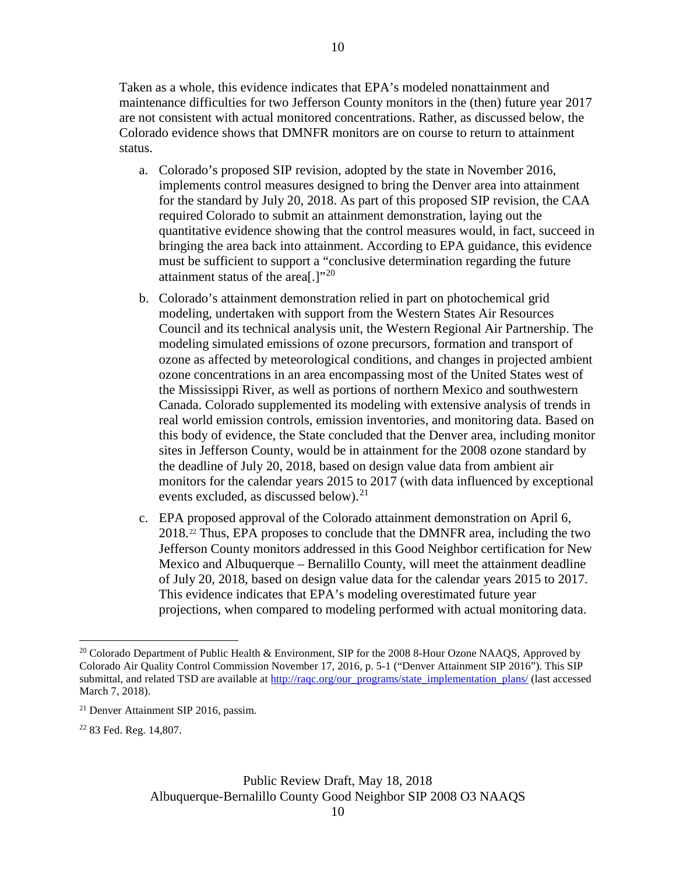Taken as a whole, this evidence indicates that EPA's modeled nonattainment and maintenance difficulties for two Jefferson County monitors in the (then) future year 2017 are not consistent with actual monitored concentrations. Rather, as discussed below, the Colorado evidence shows that DMNFR monitors are on course to return to attainment status.

- a. Colorado's proposed SIP revision, adopted by the state in November 2016, implements control measures designed to bring the Denver area into attainment for the standard by July 20, 2018. As part of this proposed SIP revision, the CAA required Colorado to submit an attainment demonstration, laying out the quantitative evidence showing that the control measures would, in fact, succeed in bringing the area back into attainment. According to EPA guidance, this evidence must be sufficient to support a "conclusive determination regarding the future attainment status of the area[.] $"^{20}$  $"^{20}$  $"^{20}$
- b. Colorado's attainment demonstration relied in part on photochemical grid modeling, undertaken with support from the Western States Air Resources Council and its technical analysis unit, the Western Regional Air Partnership. The modeling simulated emissions of ozone precursors, formation and transport of ozone as affected by meteorological conditions, and changes in projected ambient ozone concentrations in an area encompassing most of the United States west of the Mississippi River, as well as portions of northern Mexico and southwestern Canada. Colorado supplemented its modeling with extensive analysis of trends in real world emission controls, emission inventories, and monitoring data. Based on this body of evidence, the State concluded that the Denver area, including monitor sites in Jefferson County, would be in attainment for the 2008 ozone standard by the deadline of July 20, 2018, based on design value data from ambient air monitors for the calendar years 2015 to 2017 (with data influenced by exceptional events excluded, as discussed below). [21](#page-9-1)
- c. EPA proposed approval of the Colorado attainment demonstration on April 6, 2018.[22](#page-9-2) Thus, EPA proposes to conclude that the DMNFR area, including the two Jefferson County monitors addressed in this Good Neighbor certification for New Mexico and Albuquerque – Bernalillo County, will meet the attainment deadline of July 20, 2018, based on design value data for the calendar years 2015 to 2017. This evidence indicates that EPA's modeling overestimated future year projections, when compared to modeling performed with actual monitoring data.

<span id="page-9-0"></span><sup>&</sup>lt;sup>20</sup> Colorado Department of Public Health & Environment, SIP for the 2008 8-Hour Ozone NAAQS, Approved by Colorado Air Quality Control Commission November 17, 2016, p. 5-1 ("Denver Attainment SIP 2016"). This SIP submittal, and related TSD are available at [http://raqc.org/our\\_programs/state\\_implementation\\_plans/](http://raqc.org/our_programs/state_implementation_plans/) (last accessed March 7, 2018).

<span id="page-9-1"></span><sup>21</sup> Denver Attainment SIP 2016, passim.

<span id="page-9-2"></span><sup>22</sup> 83 Fed. Reg. 14,807.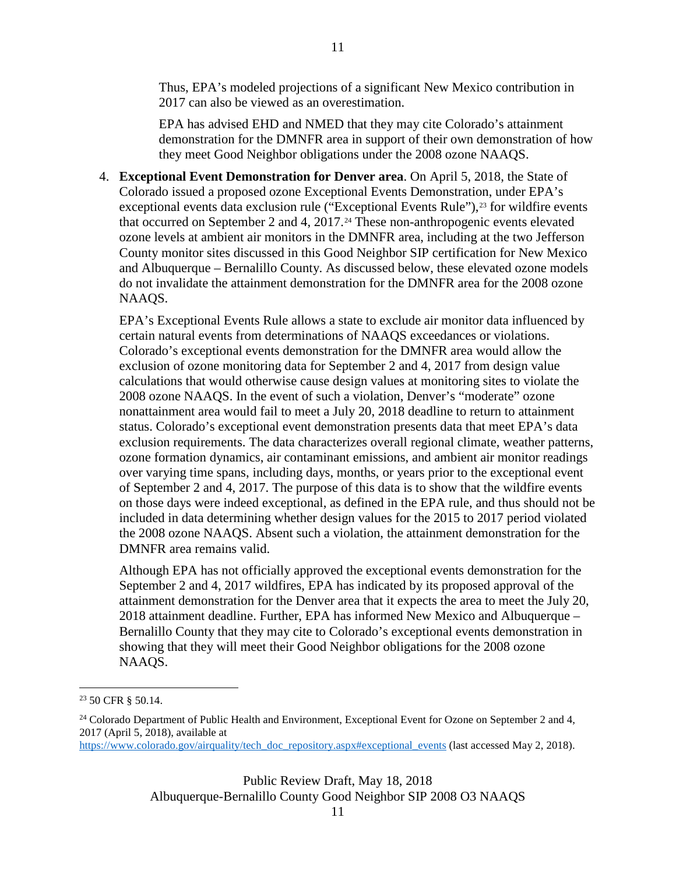Thus, EPA's modeled projections of a significant New Mexico contribution in 2017 can also be viewed as an overestimation.

EPA has advised EHD and NMED that they may cite Colorado's attainment demonstration for the DMNFR area in support of their own demonstration of how they meet Good Neighbor obligations under the 2008 ozone NAAQS.

4. **Exceptional Event Demonstration for Denver area**. On April 5, 2018, the State of Colorado issued a proposed ozone Exceptional Events Demonstration, under EPA's exceptional events data exclusion rule ("Exceptional Events Rule"),<sup>[23](#page-10-0)</sup> for wildfire events that occurred on September 2 and 4,  $2017<sup>24</sup>$  $2017<sup>24</sup>$  $2017<sup>24</sup>$  These non-anthropogenic events elevated ozone levels at ambient air monitors in the DMNFR area, including at the two Jefferson County monitor sites discussed in this Good Neighbor SIP certification for New Mexico and Albuquerque – Bernalillo County. As discussed below, these elevated ozone models do not invalidate the attainment demonstration for the DMNFR area for the 2008 ozone NAAQS.

EPA's Exceptional Events Rule allows a state to exclude air monitor data influenced by certain natural events from determinations of NAAQS exceedances or violations. Colorado's exceptional events demonstration for the DMNFR area would allow the exclusion of ozone monitoring data for September 2 and 4, 2017 from design value calculations that would otherwise cause design values at monitoring sites to violate the 2008 ozone NAAQS. In the event of such a violation, Denver's "moderate" ozone nonattainment area would fail to meet a July 20, 2018 deadline to return to attainment status. Colorado's exceptional event demonstration presents data that meet EPA's data exclusion requirements. The data characterizes overall regional climate, weather patterns, ozone formation dynamics, air contaminant emissions, and ambient air monitor readings over varying time spans, including days, months, or years prior to the exceptional event of September 2 and 4, 2017. The purpose of this data is to show that the wildfire events on those days were indeed exceptional, as defined in the EPA rule, and thus should not be included in data determining whether design values for the 2015 to 2017 period violated the 2008 ozone NAAQS. Absent such a violation, the attainment demonstration for the DMNFR area remains valid.

Although EPA has not officially approved the exceptional events demonstration for the September 2 and 4, 2017 wildfires, EPA has indicated by its proposed approval of the attainment demonstration for the Denver area that it expects the area to meet the July 20, 2018 attainment deadline. Further, EPA has informed New Mexico and Albuquerque – Bernalillo County that they may cite to Colorado's exceptional events demonstration in showing that they will meet their Good Neighbor obligations for the 2008 ozone NAAQS.

[https://www.colorado.gov/airquality/tech\\_doc\\_repository.aspx#exceptional\\_events](https://www.colorado.gov/airquality/tech_doc_repository.aspx#exceptional_events) (last accessed May 2, 2018).

Public Review Draft, May 18, 2018 Albuquerque-Bernalillo County Good Neighbor SIP 2008 O3 NAAQS

<span id="page-10-0"></span> <sup>23</sup> 50 CFR § 50.14.

<span id="page-10-1"></span><sup>&</sup>lt;sup>24</sup> Colorado Department of Public Health and Environment, Exceptional Event for Ozone on September 2 and 4, 2017 (April 5, 2018), available at